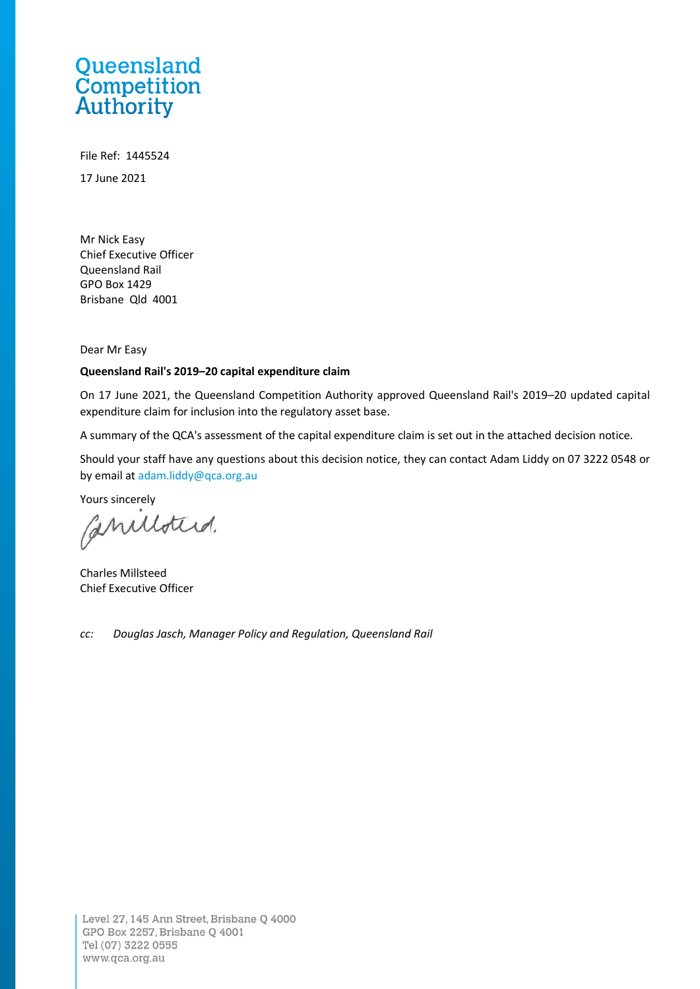## Queensland **Competition**<br> **Authority**

File Ref: 1445524 17 June 2021

Mr Nick Easy Chief Executive Officer Queensland Rail GPO Box 1429 Brisbane Qld 4001

Dear Mr Easy

#### **Queensland Rail's 2019–20 capital expenditure claim**

On 17 June 2021, the Queensland Competition Authority approved Queensland Rail's 2019–20 updated capital expenditure claim for inclusion into the regulatory asset base.

A summary of the QCA's assessment of the capital expenditure claim is set out in the attached decision notice.

Should your staff have any questions about this decision notice, they can contact Adam Liddy on 07 3222 0548 or by email a[t adam.liddy@qca.org.au](mailto:adam.liddy@qca.org.au)

Yours sincerely

Caniloters.

Charles Millsteed Chief Executive Officer

*cc: Douglas Jasch, Manager Policy and Regulation, Queensland Rail*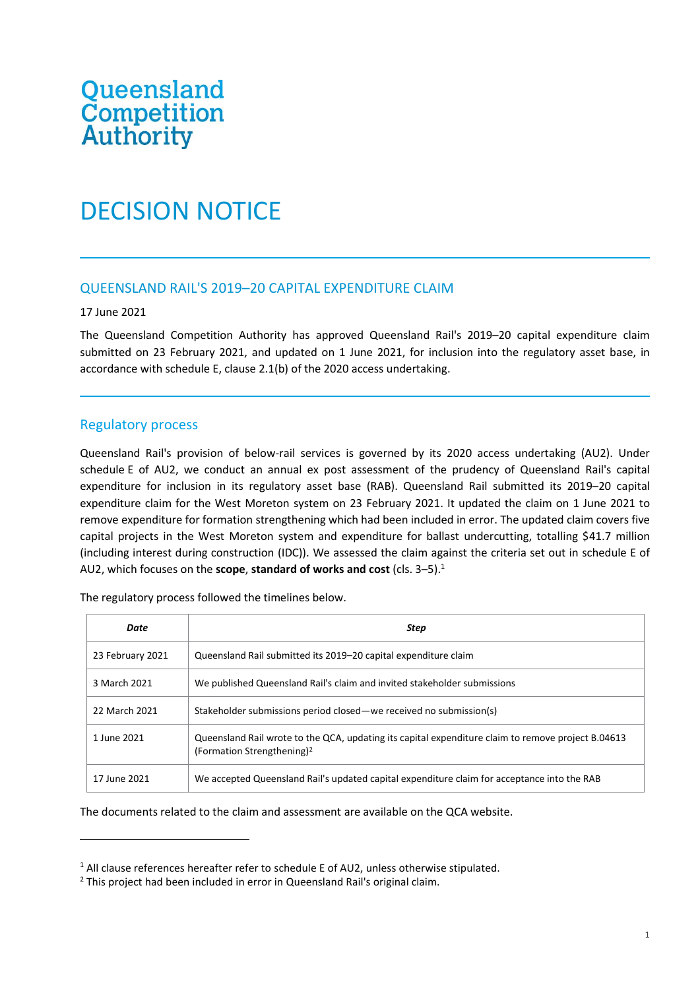# Queensland<br>Competition<br>Authority

### DECISION NOTICE

#### QUEENSLAND RAIL'S 2019–20 CAPITAL EXPENDITURE CLAIM

#### 17 June 2021

The Queensland Competition Authority has approved Queensland Rail's 2019–20 capital expenditure claim submitted on 23 February 2021, and updated on 1 June 2021, for inclusion into the regulatory asset base, in accordance with schedule E, clause 2.1(b) of the 2020 access undertaking.

#### Regulatory process

Queensland Rail's provision of below-rail services is governed by its 2020 access undertaking (AU2). Under schedule E of AU2, we conduct an annual ex post assessment of the prudency of Queensland Rail's capital expenditure for inclusion in its regulatory asset base (RAB). Queensland Rail submitted its 2019–20 capital expenditure claim for the West Moreton system on 23 February 2021. It updated the claim on 1 June 2021 to remove expenditure for formation strengthening which had been included in error. The updated claim covers five capital projects in the West Moreton system and expenditure for ballast undercutting, totalling \$41.7 million (including interest during construction (IDC)). We assessed the claim against the criteria set out in schedule E of AU2, which focuses on the **scope**, **standard of works and cost** (cls. 3–5).<sup>1</sup>

| Date             | Step                                                                                                                                         |  |  |
|------------------|----------------------------------------------------------------------------------------------------------------------------------------------|--|--|
| 23 February 2021 | Queensland Rail submitted its 2019–20 capital expenditure claim                                                                              |  |  |
| 3 March 2021     | We published Queensland Rail's claim and invited stakeholder submissions                                                                     |  |  |
| 22 March 2021    | Stakeholder submissions period closed—we received no submission(s)                                                                           |  |  |
| 1 June 2021      | Queensland Rail wrote to the QCA, updating its capital expenditure claim to remove project B.04613<br>(Formation Strengthening) <sup>2</sup> |  |  |
| 17 June 2021     | We accepted Queensland Rail's updated capital expenditure claim for acceptance into the RAB                                                  |  |  |

The regulatory process followed the timelines below.

The documents related to the claim and assessment are available on the QCA website.

<sup>&</sup>lt;sup>1</sup> All clause references hereafter refer to schedule E of AU2, unless otherwise stipulated.

<sup>&</sup>lt;sup>2</sup> This project had been included in error in Queensland Rail's original claim.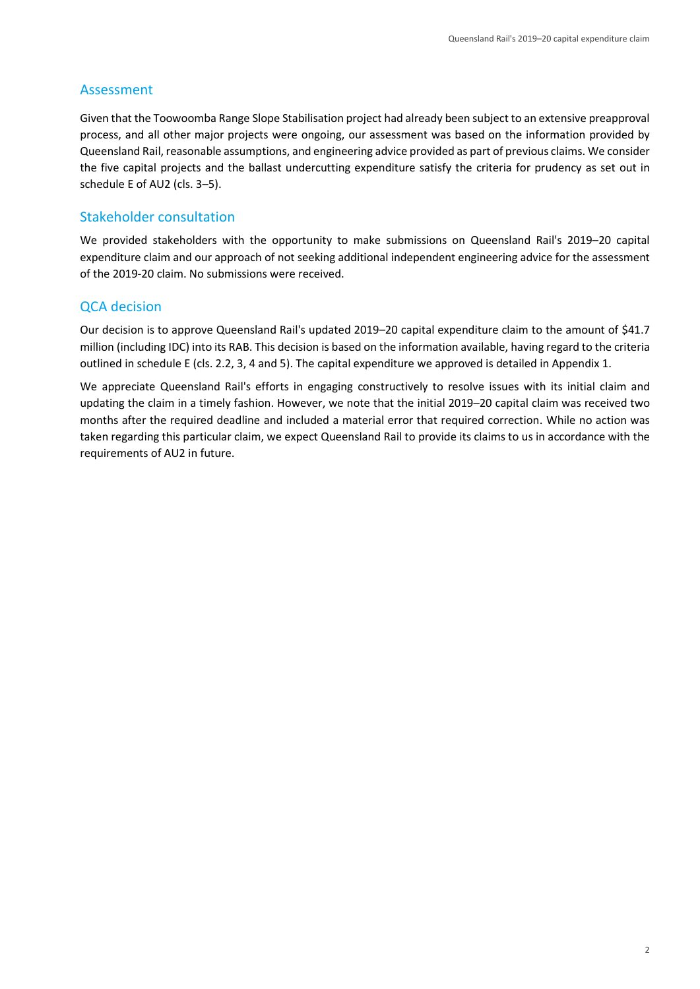#### Assessment

Given that the Toowoomba Range Slope Stabilisation project had already been subject to an extensive preapproval process, and all other major projects were ongoing, our assessment was based on the information provided by Queensland Rail, reasonable assumptions, and engineering advice provided as part of previous claims. We consider the five capital projects and the ballast undercutting expenditure satisfy the criteria for prudency as set out in schedule E of AU2 (cls. 3–5).

#### Stakeholder consultation

We provided stakeholders with the opportunity to make submissions on Queensland Rail's 2019–20 capital expenditure claim and our approach of not seeking additional independent engineering advice for the assessment of the 2019-20 claim. No submissions were received.

#### QCA decision

Our decision is to approve Queensland Rail's updated 2019–20 capital expenditure claim to the amount of \$41.7 million (including IDC) into its RAB. This decision is based on the information available, having regard to the criteria outlined in schedule E (cls. 2.2, 3, 4 and 5). The capital expenditure we approved is detailed in Appendix 1.

We appreciate Queensland Rail's efforts in engaging constructively to resolve issues with its initial claim and updating the claim in a timely fashion. However, we note that the initial 2019–20 capital claim was received two months after the required deadline and included a material error that required correction. While no action was taken regarding this particular claim, we expect Queensland Rail to provide its claims to us in accordance with the requirements of AU2 in future.